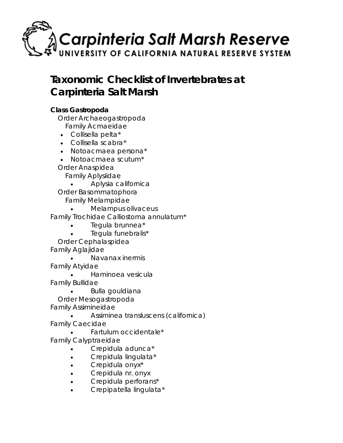

# **Taxonomic Checklist of Invertebrates at Carpinteria Salt Marsh**

## **Class** *Gastropoda*

Order *Archaeogastropoda* Family *Acmaeidae*

- *Collisella pelta\**
- *Collisella scabra\**
- *Notoacmaea persona\**
- *Notoacmaea scutum\**

Order *Anaspidea*

Family *Aplysiidae*

• *Aplysia californica*

Order *Basommatophora* Family *Melampidae*

• *Melampus olivaceus*

Family *Trochidae Calliostoma annulatum\**

- *Tegula brunnea\**
- *Tegula funebralis\**

Order *Cephalaspidea* Family *Aglajidae*

• *Navanax inermis*

Family *Atyidae*

• *Haminoea vesicula*

Family *Bullidae*

• *Bulla gouldiana* Order *Mesogastropoda*

Family *Assimineidae*

• *Assiminea transluscens (californica)*

Family *Caecidae*

• *Fartulum occidentale\** Family *Calyptraeidae*

- *Crepidula adunca\**
- *Crepidula lingulata\**
- *Crepidula onyx\**
- *Crepidula nr. onyx*
- *Crepidula perforans\**
- *Crepipatella lingulata\**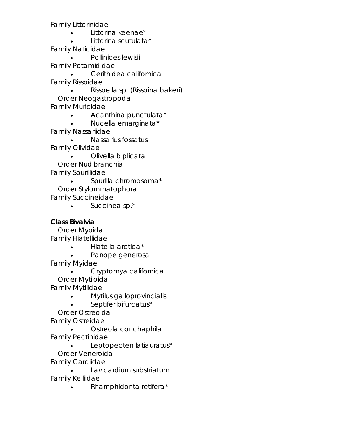Family *Littorinidae*

- *Littorina keenae\**
- *Littorina scutulata\**

Family *Naticidae*

• *Pollinices lewisii* Family *Potamididae* • *Cerithidea californica* Family *Rissoidae*

• *Rissoella sp. (Rissoina bakeri)* Order *Neogastropoda* Family *Muricidae*

• *Acanthina punctulata\**

• *Nucella emarginata\**

Family *Nassariidae*

• *Nassarius fossatus* Family *Olividae*

• *Olivella biplicata* Order *Nudibranchia* Family *Spurillidae*

• *Spurilla chromosoma\** Order *Stylommatophora* Family *Succineidae*

• *Succinea sp.\**

# **Class** *Bivalvia*

 Order *Myoida* Family *Hiatellidae*

- *Hiatella arctica\**
- *Panope generosa*

Family *Myidae*

• *Cryptomya californica* Order *Mytiloida* Family *Mytilidae*

• *Mytilus galloprovincialis*

• *Septifer bifurcatus\**

 Order *Ostreoida* Family *Ostreidae*

• *Ostreola conchaphila* Family *Pectinidae*

• *Leptopecten latiauratus\** Order *Veneroida*

Family *Cardiidae* • *Lavicardium substriatum*

Family *Kelliidae*

• *Rhamphidonta retifera\**